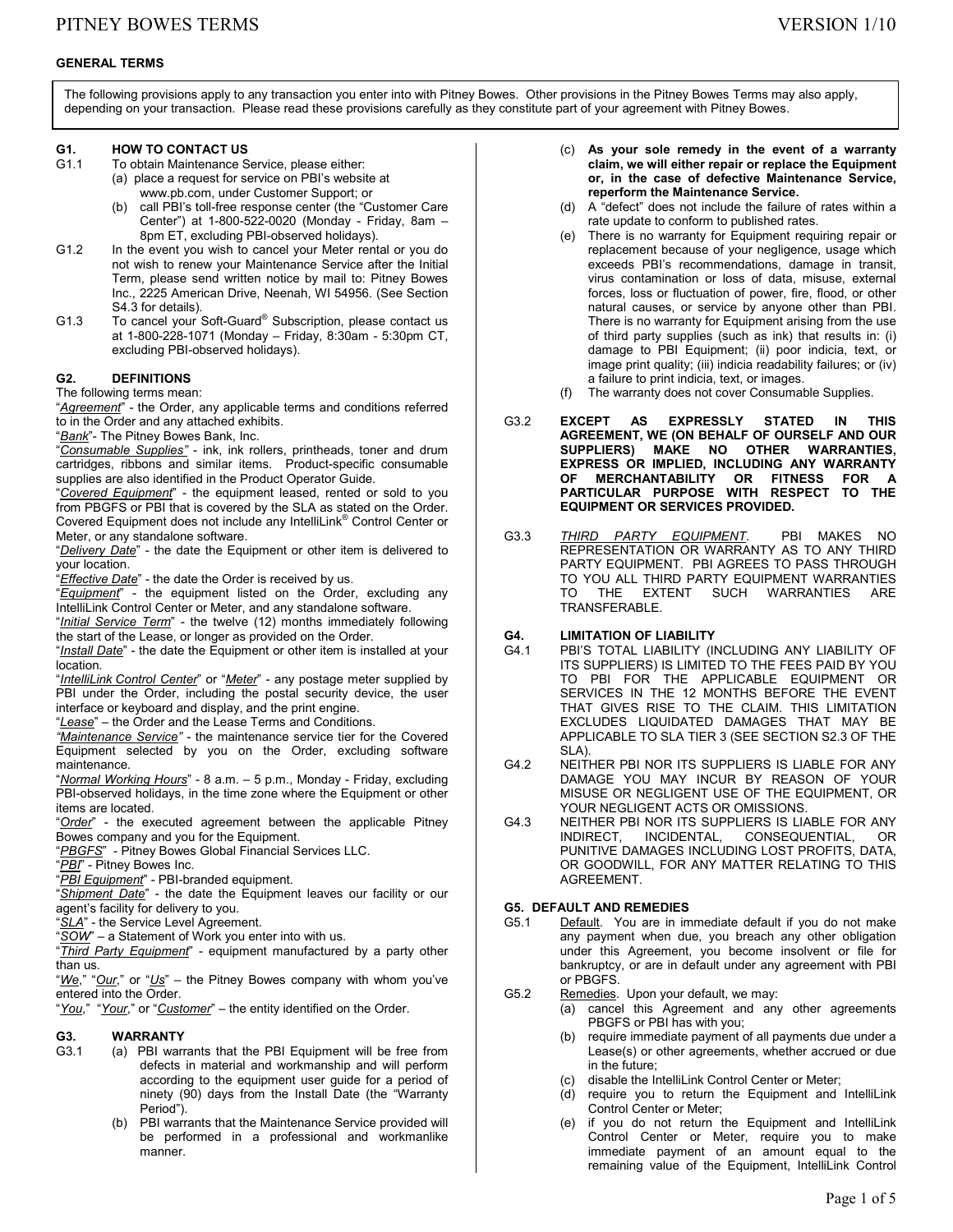# **GENERAL TERMS**

The following provisions apply to any transaction you enter into with Pitney Bowes. Other provisions in the Pitney Bowes Terms may also apply, depending on your transaction. Please read these provisions carefully as they constitute part of your agreement with Pitney Bowes.

# **G1. HOW TO CONTACT US**<br>G1.1 To obtain Maintenance S

- To obtain Maintenance Service, please either:
	- (a) place a request for service on PBI's website at www.pb.com, under Customer Support; or
		- (b) call PBI's toll-free response center (the "Customer Care Center") at 1-800-522-0020 (Monday - Friday, 8am – 8pm ET, excluding PBI-observed holidays).
- G1.2 In the event you wish to cancel your Meter rental or you do not wish to renew your Maintenance Service after the Initial Term, please send written notice by mail to: Pitney Bowes Inc., 2225 American Drive, Neenah, WI 54956. (See Section S4.3 for details).
- G1.3 To cancel your Soft-Guard® Subscription, please contact us at 1-800-228-1071 (Monday – Friday, 8:30am - 5:30pm CT, excluding PBI-observed holidays).

### **G2. DEFINITIONS**

The following terms mean:

"*Agreement*" - the Order, any applicable terms and conditions referred to in the Order and any attached exhibits.

"*Bank*"- The Pitney Bowes Bank, Inc.

"*Consumable Supplies"* - ink, ink rollers, printheads, toner and drum cartridges, ribbons and similar items. Product-specific consumable supplies are also identified in the Product Operator Guide.

"*Covered Equipment*" - the equipment leased, rented or sold to you from PBGFS or PBI that is covered by the SLA as stated on the Order. Covered Equipment does not include any IntelliLink® Control Center or Meter, or any standalone software.

"*Delivery Date*" - the date the Equipment or other item is delivered to your location.

"*Effective Date*" - the date the Order is received by us.

"*Equipment*" - the equipment listed on the Order, excluding any IntelliLink Control Center or Meter, and any standalone software.

"*Initial Service Term*" - the twelve (12) months immediately following the start of the Lease, or longer as provided on the Order.

"*Install Date*" - the date the Equipment or other item is installed at your location.

"*IntelliLink Control Center*" or "*Meter*" - any postage meter supplied by PBI under the Order, including the postal security device, the user interface or keyboard and display, and the print engine.

"*Lease*" – the Order and the Lease Terms and Conditions.

*"Maintenance Service"* - the maintenance service tier for the Covered Equipment selected by you on the Order, excluding software maintenance.

"*Normal Working Hours*" - 8 a.m. – 5 p.m., Monday - Friday, excluding PBI-observed holidays, in the time zone where the Equipment or other items are located.

"*Order*" - the executed agreement between the applicable Pitney Bowes company and you for the Equipment.

"*PBGFS*" - Pitney Bowes Global Financial Services LLC.

"*PBI*" - Pitney Bowes Inc.

"*PBI Equipment*" - PBI-branded equipment.

"*Shipment Date*" - the date the Equipment leaves our facility or our agent's facility for delivery to you.

"*SLA*" - the Service Level Agreement.

"*SOW*" – a Statement of Work you enter into with us.

"*Third Party Equipment*" - equipment manufactured by a party other than us.

"*We*," "*Our*," or "*Us*" – the Pitney Bowes company with whom you've entered into the Order.

"*You*," "*Your*," or "*Customer*" – the entity identified on the Order.

# G3.1 **WARRANTY**<br>G3.1 (a) PBI warr

- (a) PBI warrants that the PBI Equipment will be free from defects in material and workmanship and will perform according to the equipment user guide for a period of ninety (90) days from the Install Date (the "Warranty Period").
	- (b) PBI warrants that the Maintenance Service provided will be performed in a professional and workmanlike manner.
- (c) **As your sole remedy in the event of a warranty claim, we will either repair or replace the Equipment or, in the case of defective Maintenance Service, reperform the Maintenance Service.**
- (d) A "defect" does not include the failure of rates within a rate update to conform to published rates.
- (e) There is no warranty for Equipment requiring repair or replacement because of your negligence, usage which exceeds PBI's recommendations, damage in transit, virus contamination or loss of data, misuse, external forces, loss or fluctuation of power, fire, flood, or other natural causes, or service by anyone other than PBI. There is no warranty for Equipment arising from the use of third party supplies (such as ink) that results in: (i) damage to PBI Equipment; (ii) poor indicia, text, or image print quality; (iii) indicia readability failures; or (iv) a failure to print indicia, text, or images.
	- (f) The warranty does not cover Consumable Supplies.
- G3.2 **EXCEPT AS EXPRESSLY STATED IN THIS AGREEMENT, WE (ON BEHALF OF OURSELF AND OUR SUPPLIERS) MAKE NO OTHER WARRANTIES, EXPRESS OR IMPLIED, INCLUDING ANY WARRANTY OF MERCHANTABILITY OR FITNESS FOR A PARTICULAR PURPOSE WITH RESPECT TO THE EQUIPMENT OR SERVICES PROVIDED.**
- G3.3 *THIRD PARTY EQUIPMENT*. PBI MAKES NO REPRESENTATION OR WARRANTY AS TO ANY THIRD PARTY EQUIPMENT. PBI AGREES TO PASS THROUGH TO YOU ALL THIRD PARTY EQUIPMENT WARRANTIES<br>TO THE EXTENT SUCH WARRANTIES ARE THE EXTENT SUCH WARRANTIES ARE TRANSFERABLE.

# **G4. LIMITATION OF LIABILITY**

- PBI'S TOTAL LIABILITY (INCLUDING ANY LIABILITY OF ITS SUPPLIERS) IS LIMITED TO THE FEES PAID BY YOU TO PBI FOR THE APPLICABLE EQUIPMENT OR SERVICES IN THE 12 MONTHS BEFORE THE EVENT THAT GIVES RISE TO THE CLAIM. THIS LIMITATION EXCLUDES LIQUIDATED DAMAGES THAT MAY BE APPLICABLE TO SLA TIER 3 (SEE SECTION S2.3 OF THE SLA).
- G4.2 NEITHER PBI NOR ITS SUPPLIERS IS LIABLE FOR ANY DAMAGE YOU MAY INCUR BY REASON OF YOUR MISUSE OR NEGLIGENT USE OF THE EQUIPMENT, OR YOUR NEGLIGENT ACTS OR OMISSIONS.
- G4.3 NEITHER PBI NOR ITS SUPPLIERS IS LIABLE FOR ANY INDIRECT, INCIDENTAL, CONSEQUENTIAL, OR PUNITIVE DAMAGES INCLUDING LOST PROFITS, DATA, OR GOODWILL, FOR ANY MATTER RELATING TO THIS AGREEMENT.

# **G5. DEFAULT AND REMEDIES**

- G5.1 Default. You are in immediate default if you do not make any payment when due, you breach any other obligation under this Agreement, you become insolvent or file for bankruptcy, or are in default under any agreement with PBI or PBGFS.
- G5.2 Remedies. Upon your default, we may:
	- (a) cancel this Agreement and any other agreements PBGFS or PBI has with you;
		- (b) require immediate payment of all payments due under a Lease(s) or other agreements, whether accrued or due in the future;
		- (c) disable the IntelliLink Control Center or Meter;
		- (d) require you to return the Equipment and IntelliLink Control Center or Meter;
		- (e) if you do not return the Equipment and IntelliLink Control Center or Meter, require you to make immediate payment of an amount equal to the remaining value of the Equipment, IntelliLink Control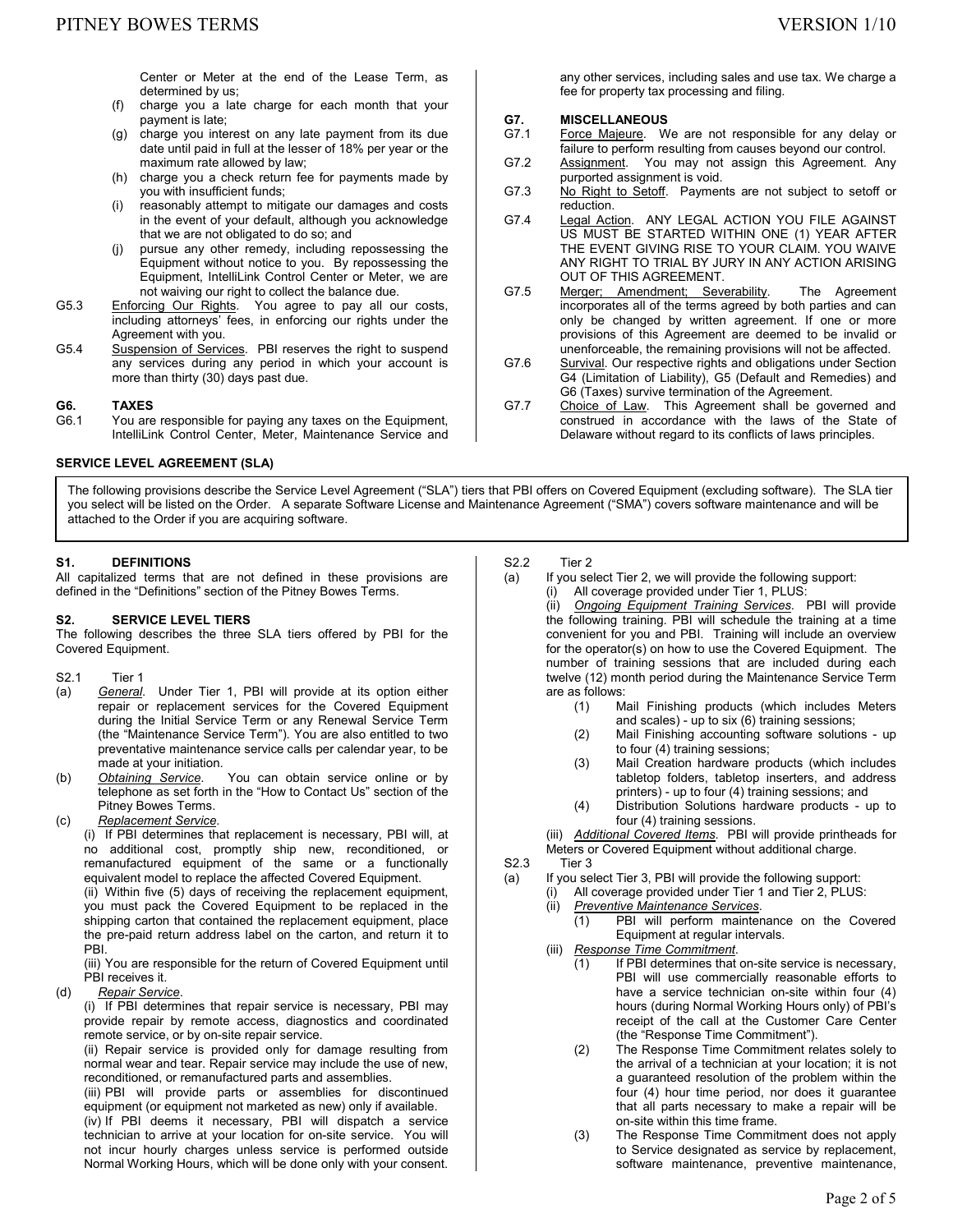any other services, including sales and use tax. We charge a

fee for property tax processing and filing.

purported assignment is void.

OUT OF THIS AGREEMENT.

G7.1 Force Majeure. We are not responsible for any delay or failure to perform resulting from causes beyond our control. G7.2 Assignment. You may not assign this Agreement. Any

G7.3 No Right to Setoff. Payments are not subject to setoff or

G7.4 Legal Action. ANY LEGAL ACTION YOU FILE AGAINST US MUST BE STARTED WITHIN ONE (1) YEAR AFTER THE EVENT GIVING RISE TO YOUR CLAIM. YOU WAIVE ANY RIGHT TO TRIAL BY JURY IN ANY ACTION ARISING

G7.5 Merger; Amendment; Severability. The Agreement incorporates all of the terms agreed by both parties and can only be changed by written agreement. If one or more provisions of this Agreement are deemed to be invalid or unenforceable, the remaining provisions will not be affected. G7.6 Survival. Our respective rights and obligations under Section

G6 (Taxes) survive termination of the Agreement. G7.7 Choice of Law. This Agreement shall be governed and

G4 (Limitation of Liability), G5 (Default and Remedies) and

construed in accordance with the laws of the State of Delaware without regard to its conflicts of laws principles.

**G7. MISCELLANEOUS** 

reduction.

Center or Meter at the end of the Lease Term, as determined by us;

- (f) charge you a late charge for each month that your payment is late;
- (g) charge you interest on any late payment from its due date until paid in full at the lesser of 18% per year or the maximum rate allowed by law;
- (h) charge you a check return fee for payments made by you with insufficient funds;
- (i) reasonably attempt to mitigate our damages and costs in the event of your default, although you acknowledge that we are not obligated to do so; and
- (j) pursue any other remedy, including repossessing the Equipment without notice to you. By repossessing the Equipment, IntelliLink Control Center or Meter, we are not waiving our right to collect the balance due.
- G5.3 Enforcing Our Rights. You agree to pay all our costs, including attorneys' fees, in enforcing our rights under the Agreement with you.
- G5.4 Suspension of Services. PBI reserves the right to suspend any services during any period in which your account is more than thirty (30) days past due.

# **G6. TAXES**

G6.1 You are responsible for paying any taxes on the Equipment, IntelliLink Control Center, Meter, Maintenance Service and

### **SERVICE LEVEL AGREEMENT (SLA)**

The following provisions describe the Service Level Agreement ("SLA") tiers that PBI offers on Covered Equipment (excluding software). The SLA tier you select will be listed on the Order. A separate Software License and Maintenance Agreement ("SMA") covers software maintenance and will be attached to the Order if you are acquiring software.

### **S1. DEFINITIONS**

All capitalized terms that are not defined in these provisions are defined in the "Definitions" section of the Pitney Bowes Terms.

#### **S2. SERVICE LEVEL TIERS**

The following describes the three SLA tiers offered by PBI for the Covered Equipment.

- S2.1 Tier 1
- (a) *General*. Under Tier 1, PBI will provide at its option either repair or replacement services for the Covered Equipment during the Initial Service Term or any Renewal Service Term (the "Maintenance Service Term"). You are also entitled to two preventative maintenance service calls per calendar year, to be
- made at your initiation.<br>Obtaining Service. (b) *Obtaining Service*. You can obtain service online or by telephone as set forth in the "How to Contact Us" section of the Pitney Bowes Terms.
- (c) *Replacement Service*.

(i) If PBI determines that replacement is necessary, PBI will, at no additional cost, promptly ship new, reconditioned, or remanufactured equipment of the same or a functionally equivalent model to replace the affected Covered Equipment.

(ii) Within five (5) days of receiving the replacement equipment, you must pack the Covered Equipment to be replaced in the shipping carton that contained the replacement equipment, place the pre-paid return address label on the carton, and return it to PBI.

(iii) You are responsible for the return of Covered Equipment until PBI receives it.

(d) *Repair Service*.

(i) If PBI determines that repair service is necessary, PBI may provide repair by remote access, diagnostics and coordinated remote service, or by on-site repair service.

(ii) Repair service is provided only for damage resulting from normal wear and tear. Repair service may include the use of new, reconditioned, or remanufactured parts and assemblies.

(iii) PBI will provide parts or assemblies for discontinued equipment (or equipment not marketed as new) only if available.

(iv) If PBI deems it necessary, PBI will dispatch a service technician to arrive at your location for on-site service. You will not incur hourly charges unless service is performed outside Normal Working Hours, which will be done only with your consent.

S2.2 Tier 2

- (a) If you select Tier 2, we will provide the following support: (i) All coverage provided under Tier 1, PLUS:
	- (ii) *Ongoing Equipment Training Services*. PBI will provide the following training. PBI will schedule the training at a time convenient for you and PBI. Training will include an overview for the operator(s) on how to use the Covered Equipment. The number of training sessions that are included during each twelve (12) month period during the Maintenance Service Term are as follows:
		- (1) Mail Finishing products (which includes Meters and scales) - up to six (6) training sessions;
		- (2) Mail Finishing accounting software solutions up to four (4) training sessions;
		- (3) Mail Creation hardware products (which includes tabletop folders, tabletop inserters, and address printers) - up to four (4) training sessions; and
		- (4) Distribution Solutions hardware products up to four (4) training sessions.

(iii) *Additional Covered Items*. PBI will provide printheads for Meters or Covered Equipment without additional charge.

- S2.3 Tier 3
- (a) If you select Tier 3, PBI will provide the following support:
	- (i) All coverage provided under Tier 1 and Tier 2, PLUS:
		- (ii) *Preventive Maintenance Services*.
			- PBI will perform maintenance on the Covered Equipment at regular intervals.
		- (iii) *Response Time Commitment*.
			- (1) If PBI determines that on-site service is necessary, PBI will use commercially reasonable efforts to have a service technician on-site within four (4) hours (during Normal Working Hours only) of PBI's receipt of the call at the Customer Care Center (the "Response Time Commitment").
			- (2) The Response Time Commitment relates solely to the arrival of a technician at your location; it is not a guaranteed resolution of the problem within the four (4) hour time period, nor does it guarantee that all parts necessary to make a repair will be on-site within this time frame.
			- (3) The Response Time Commitment does not apply to Service designated as service by replacement, software maintenance, preventive maintenance,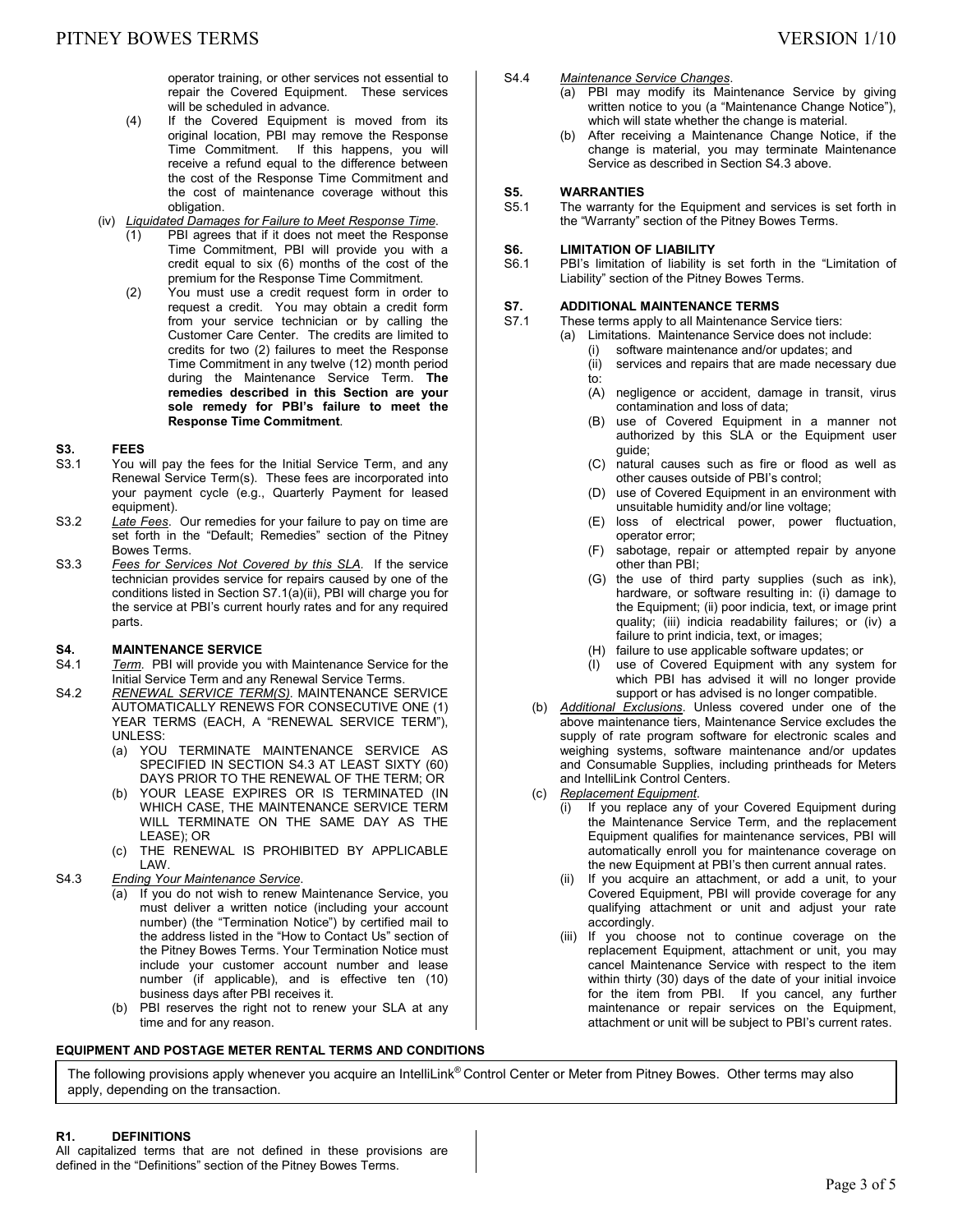operator training, or other services not essential to repair the Covered Equipment. These services will be scheduled in advance.

(4) If the Covered Equipment is moved from its original location, PBI may remove the Response Time Commitment. If this happens, you will receive a refund equal to the difference between the cost of the Response Time Commitment and the cost of maintenance coverage without this obligation.

### (iv) *Liquidated Damages for Failure to Meet Response Time*.

- (1) PBI agrees that if it does not meet the Response Time Commitment, PBI will provide you with a credit equal to six (6) months of the cost of the premium for the Response Time Commitment.
- (2) You must use a credit request form in order to request a credit. You may obtain a credit form from your service technician or by calling the Customer Care Center. The credits are limited to credits for two (2) failures to meet the Response Time Commitment in any twelve (12) month period during the Maintenance Service Term. **The remedies described in this Section are your sole remedy for PBI's failure to meet the Response Time Commitment**.

#### **S3. FEES**

- S3.1 You will pay the fees for the Initial Service Term, and any Renewal Service Term(s). These fees are incorporated into your payment cycle (e.g., Quarterly Payment for leased equipment).
- S3.2 *Late Fees*. Our remedies for your failure to pay on time are set forth in the "Default; Remedies" section of the Pitney Bowes Terms.
- S3.3 *Fees for Services Not Covered by this SLA.* If the service technician provides service for repairs caused by one of the conditions listed in Section S7.1(a)(ii), PBI will charge you for the service at PBI's current hourly rates and for any required parts.

# **S4. MAINTENANCE SERVICE**<br>S4.1 Term. PBI will provide you

- Term. PBI will provide you with Maintenance Service for the Initial Service Term and any Renewal Service Terms.
- S4.2 *RENEWAL SERVICE TERM(S)*. MAINTENANCE SERVICE AUTOMATICALLY RENEWS FOR CONSECUTIVE ONE (1) YEAR TERMS (EACH, A "RENEWAL SERVICE TERM"), UNLESS:
	- (a) YOU TERMINATE MAINTENANCE SERVICE AS SPECIFIED IN SECTION S4.3 AT LEAST SIXTY (60) DAYS PRIOR TO THE RENEWAL OF THE TERM; OR
	- (b) YOUR LEASE EXPIRES OR IS TERMINATED (IN WHICH CASE, THE MAINTENANCE SERVICE TERM WILL TERMINATE ON THE SAME DAY AS THE LEASE); OR
	- (c) THE RENEWAL IS PROHIBITED BY APPLICABLE LAW.
- S4.3 *Ending Your Maintenance Service*.
	- (a) If you do not wish to renew Maintenance Service, you must deliver a written notice (including your account number) (the "Termination Notice") by certified mail to the address listed in the "How to Contact Us" section of the Pitney Bowes Terms. Your Termination Notice must include your customer account number and lease number (if applicable), and is effective ten (10) business days after PBI receives it.
	- (b) PBI reserves the right not to renew your SLA at any time and for any reason.

#### **EQUIPMENT AND POSTAGE METER RENTAL TERMS AND CONDITIONS**

#### S4.4 *Maintenance Service Changes*.

- (a) PBI may modify its Maintenance Service by giving written notice to you (a "Maintenance Change Notice"), which will state whether the change is material.
- (b) After receiving a Maintenance Change Notice, if the change is material, you may terminate Maintenance Service as described in Section S4.3 above.

# **S5. WARRANTIES**<br>S5.1 The warranty fo

The warranty for the Equipment and services is set forth in the "Warranty" section of the Pitney Bowes Terms.

# **S6. LIMITATION OF LIABILITY**<br>S6.1 PBI's limitation of liability is

PBI's limitation of liability is set forth in the "Limitation of Liability" section of the Pitney Bowes Terms.

# **S7. ADDITIONAL MAINTENANCE TERMS**<br>S7.1 These terms apply to all Maintenance Sq

These terms apply to all Maintenance Service tiers:

- (a) Limitations. Maintenance Service does not include:
- (i) software maintenance and/or updates; and
	- (ii) services and repairs that are made necessary due to:
	- (A) negligence or accident, damage in transit, virus contamination and loss of data;
	- (B) use of Covered Equipment in a manner not authorized by this SLA or the Equipment user guide;
	- (C) natural causes such as fire or flood as well as other causes outside of PBI's control;
	- (D) use of Covered Equipment in an environment with unsuitable humidity and/or line voltage;
	- (E) loss of electrical power, power fluctuation, operator error;
	- (F) sabotage, repair or attempted repair by anyone other than PBI;
	- (G) the use of third party supplies (such as ink), hardware, or software resulting in: (i) damage to the Equipment; (ii) poor indicia, text, or image print quality; (iii) indicia readability failures; or (iv) a failure to print indicia, text, or images;
	- (H) failure to use applicable software updates; or
	- (I) use of Covered Equipment with any system for which PBI has advised it will no longer provide support or has advised is no longer compatible.
- (b) *Additional Exclusions*. Unless covered under one of the above maintenance tiers, Maintenance Service excludes the supply of rate program software for electronic scales and weighing systems, software maintenance and/or updates and Consumable Supplies, including printheads for Meters and IntelliLink Control Centers.
- (c) *Replacement Equipment*.
	- (i) If you replace any of your Covered Equipment during the Maintenance Service Term, and the replacement Equipment qualifies for maintenance services, PBI will automatically enroll you for maintenance coverage on the new Equipment at PBI's then current annual rates.
	- (ii) If you acquire an attachment, or add a unit, to your Covered Equipment, PBI will provide coverage for any qualifying attachment or unit and adjust your rate accordingly.
	- (iii) If you choose not to continue coverage on the replacement Equipment, attachment or unit, you may cancel Maintenance Service with respect to the item within thirty (30) days of the date of your initial invoice for the item from PBI. If you cancel, any further maintenance or repair services on the Equipment, attachment or unit will be subject to PBI's current rates.

The following provisions apply whenever you acquire an IntelliLink® Control Center or Meter from Pitney Bowes. Other terms may also apply, depending on the transaction.

#### **R1. DEFINITIONS**

All capitalized terms that are not defined in these provisions are defined in the "Definitions" section of the Pitney Bowes Terms.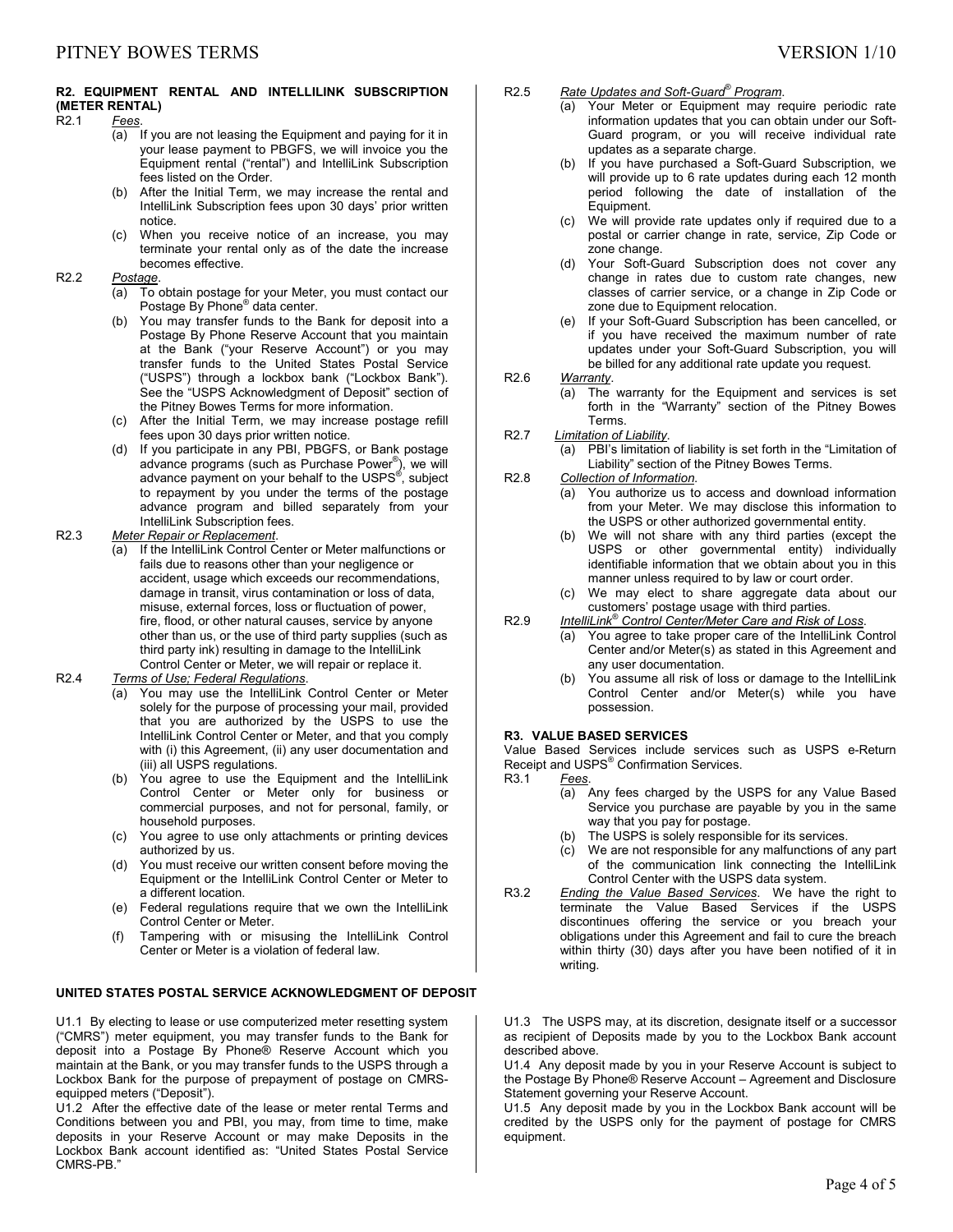# **R2. EQUIPMENT RENTAL AND INTELLILINK SUBSCRIPTION (METER RENTAL)**

# **Fees**.

- (a) If you are not leasing the Equipment and paying for it in your lease payment to PBGFS, we will invoice you the Equipment rental ("rental") and IntelliLink Subscription fees listed on the Order.
- (b) After the Initial Term, we may increase the rental and IntelliLink Subscription fees upon 30 days' prior written notice.
- (c) When you receive notice of an increase, you may terminate your rental only as of the date the increase becomes effective.

#### R2.2 *Postage*.

- (a) To obtain postage for your Meter, you must contact our Postage By Phone® data center.
- (b) You may transfer funds to the Bank for deposit into a Postage By Phone Reserve Account that you maintain at the Bank ("your Reserve Account") or you may transfer funds to the United States Postal Service ("USPS") through a lockbox bank ("Lockbox Bank"). See the "USPS Acknowledgment of Deposit" section of the Pitney Bowes Terms for more information.
- (c) After the Initial Term, we may increase postage refill fees upon 30 days prior written notice.
- (d) If you participate in any PBI, PBGFS, or Bank postage advance programs (such as Purchase Power® ), we will advance payment on your behalf to the USPS®, subject to repayment by you under the terms of the postage advance program and billed separately from your IntelliLink Subscription fees.
- R2.3 *Meter Repair or Replacement*.
	- (a) If the IntelliLink Control Center or Meter malfunctions or fails due to reasons other than your negligence or accident, usage which exceeds our recommendations, damage in transit, virus contamination or loss of data, misuse, external forces, loss or fluctuation of power, fire, flood, or other natural causes, service by anyone other than us, or the use of third party supplies (such as third party ink) resulting in damage to the IntelliLink Control Center or Meter, we will repair or replace it.

### R2.4 *Terms of Use; Federal Regulations*.

- (a) You may use the IntelliLink Control Center or Meter solely for the purpose of processing your mail, provided that you are authorized by the USPS to use the IntelliLink Control Center or Meter, and that you comply with (i) this Agreement, (ii) any user documentation and (iii) all USPS regulations.
- (b) You agree to use the Equipment and the IntelliLink Control Center or Meter only for business or commercial purposes, and not for personal, family, or household purposes.
- (c) You agree to use only attachments or printing devices authorized by us.
- (d) You must receive our written consent before moving the Equipment or the IntelliLink Control Center or Meter to a different location.
- (e) Federal regulations require that we own the IntelliLink Control Center or Meter.
- (f) Tampering with or misusing the IntelliLink Control Center or Meter is a violation of federal law.

#### **UNITED STATES POSTAL SERVICE ACKNOWLEDGMENT OF DEPOSIT**

U1.1 By electing to lease or use computerized meter resetting system ("CMRS") meter equipment, you may transfer funds to the Bank for deposit into a Postage By Phone® Reserve Account which you maintain at the Bank, or you may transfer funds to the USPS through a Lockbox Bank for the purpose of prepayment of postage on CMRSequipped meters ("Deposit").

U1.2 After the effective date of the lease or meter rental Terms and Conditions between you and PBI, you may, from time to time, make deposits in your Reserve Account or may make Deposits in the Lockbox Bank account identified as: "United States Postal Service CMRS-PB."

- R2.5 *Rate Updates and Soft-Guard® Program*.
	- (a) Your Meter or Equipment may require periodic rate information updates that you can obtain under our Soft-Guard program, or you will receive individual rate updates as a separate charge.
	- (b) If you have purchased a Soft-Guard Subscription, we will provide up to 6 rate updates during each 12 month period following the date of installation of the Equipment.
	- (c) We will provide rate updates only if required due to a postal or carrier change in rate, service, Zip Code or zone change.
	- (d) Your Soft-Guard Subscription does not cover any change in rates due to custom rate changes, new classes of carrier service, or a change in Zip Code or zone due to Equipment relocation.
	- (e) If your Soft-Guard Subscription has been cancelled, or if you have received the maximum number of rate updates under your Soft-Guard Subscription, you will be billed for any additional rate update you request.

#### R2.6 *Warranty*.

- (a) The warranty for the Equipment and services is set forth in the "Warranty" section of the Pitney Bowes Terms.
- R2.7 *Limitation of Liability*.
	- (a) PBI's limitation of liability is set forth in the "Limitation of Liability" section of the Pitney Bowes Terms.
- R2.8 *Collection of Information*.
	- (a) You authorize us to access and download information from your Meter. We may disclose this information to the USPS or other authorized governmental entity.
	- (b) We will not share with any third parties (except the USPS or other governmental entity) individually identifiable information that we obtain about you in this manner unless required to by law or court order.
	- (c) We may elect to share aggregate data about our customers' postage usage with third parties.
- R2.9 *IntelliLink® Control Center/Meter Care and Risk of Loss*.
	- (a) You agree to take proper care of the IntelliLink Control Center and/or Meter(s) as stated in this Agreement and any user documentation.
	- (b) You assume all risk of loss or damage to the IntelliLink Control Center and/or Meter(s) while you have possession.

# **R3. VALUE BASED SERVICES**

Value Based Services include services such as USPS e-Return Receipt and USPS<sup>®</sup> Confirmation Services.

- R3.1 *Fees*.
	- (a) Any fees charged by the USPS for any Value Based Service you purchase are payable by you in the same way that you pay for postage.
	- (b) The USPS is solely responsible for its services.
	- (c) We are not responsible for any malfunctions of any part of the communication link connecting the IntelliLink Control Center with the USPS data system.
- R3.2 *Ending the Value Based Services*. We have the right to terminate the Value Based Services if the USPS discontinues offering the service or you breach your obligations under this Agreement and fail to cure the breach within thirty (30) days after you have been notified of it in writing.

U1.3 The USPS may, at its discretion, designate itself or a successor as recipient of Deposits made by you to the Lockbox Bank account described above.

U1.4 Any deposit made by you in your Reserve Account is subject to the Postage By Phone® Reserve Account – Agreement and Disclosure Statement governing your Reserve Account.

U1.5 Any deposit made by you in the Lockbox Bank account will be credited by the USPS only for the payment of postage for CMRS equipment.